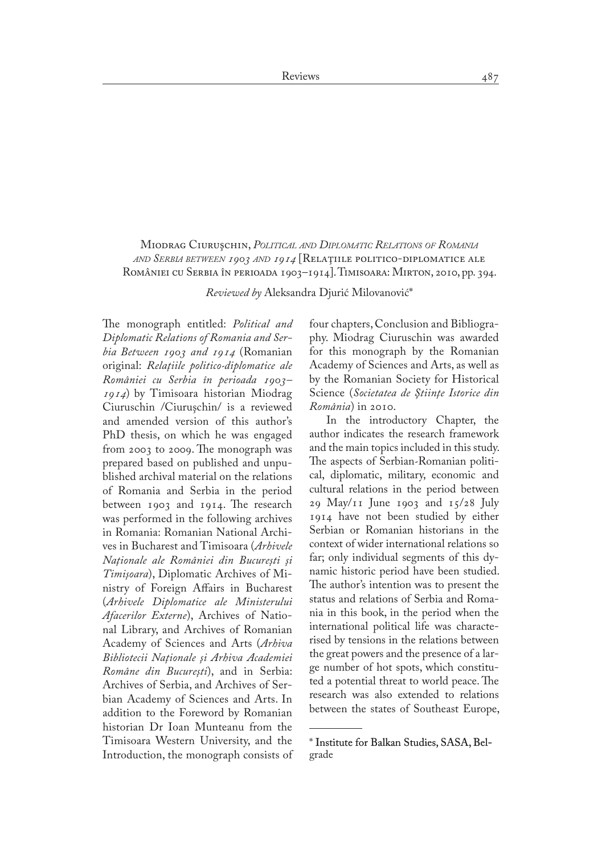## Miodrag Ciuruşchin, *Political and Diplomatic Relations of Romania and Serbia between 1903 and 1914* [Relaţiile politico-diplomatice ale României cu Serbia în perioada 1903–1914]. Timisoara: Mirton, 2010, pp. 394.

*Reviewed by* Aleksandra Djurić Milovanović\*

The monograph entitled: *Political and Diplomatic Relations of Romania and Serbia Between 1903 and 1914* (Romanian original: *Relaţiile politico-diplomatice ale României cu Serbia în perioada 1903– 1914*) by Timisoara historian Miodrag Ciuruschin /Ciuruşchin/ is a reviewed and amended version of this author's PhD thesis, on which he was engaged from 2003 to 2009. The monograph was prepared based on published and unpu� blished archival material on the relations of Romania and Serbia in the period between 1903 and 1914. The research was performed in the following archives in Romania: Romanian National Archives in Bucharest and Timisoara (*Arhivele Naţionale ale României din Bucureşti şi Timişoara*), Diplomatic Archives of Mi� nistry of Foreign Affairs in Bucharest (*Arhivele Diplomatice ale Ministerului Afacerilor Externe*), Archives of National Library, and Archives of Romanian Academy of Sciences and Arts (*Arhiva Bibliotecii Naţionale şi Arhiva Academiei Române din Bucureşti*), and in Serbia: Archives of Serbia, and Archives of Serbian Academy of Sciences and Arts. In addition to the Foreword by Romanian historian Dr Ioan Munteanu from the Timisoara Western University, and the Introduction, the monograph consists of four chapters, Conclusion and Bibliogra� phy. Miodrag Ciuruschin was awarded for this monograph by the Romanian Academy of Sciences and Arts, as well as by the Romanian Society for Historical Science (*Societatea de Ştiinţe Istorice din România*) in 2010.

In the introductory Chapter, the author indicates the research framework and the main topics included in this study. The aspects of Serbian-Romanian political, diplomatic, military, economic and cultural relations in the period between 29 May/11 June 1903 and 15/28 July 1914 have not been studied by either Serbian or Romanian historians in the context of wider international relations so far; only individual segments of this dynamic historic period have been studied. The author's intention was to present the status and relations of Serbia and Roma� nia in this book, in the period when the international political life was characterised by tensions in the relations between the great powers and the presence of a large number of hot spots, which constitu� ted a potential threat to world peace. The research was also extended to relations between the states of Southeast Europe,

<sup>\*</sup> Institute for Balkan Studies, SASA, Belgrade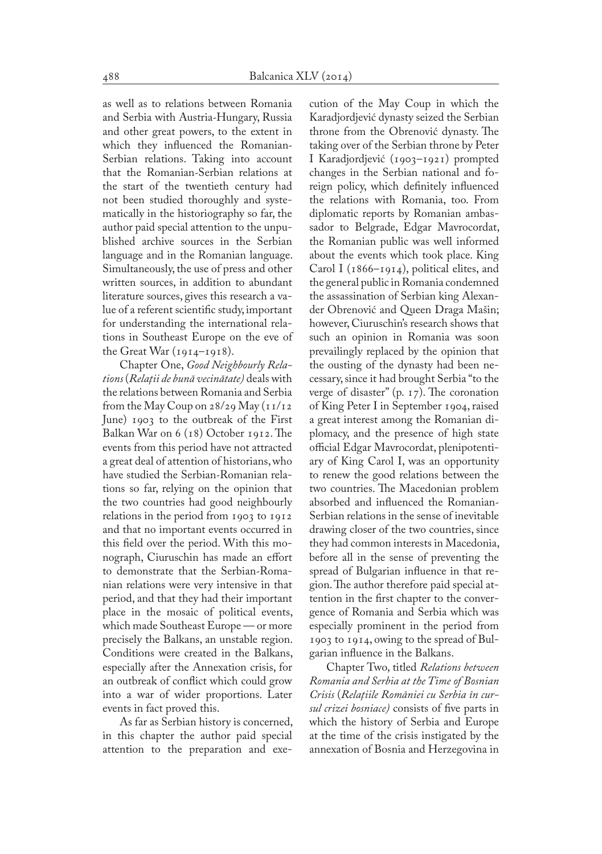as well as to relations between Romania and Serbia with Austria-Hungary, Russia and other great powers, to the extent in which they influenced the Romanian-Serbian relations. Taking into account that the Romanian-Serbian relations at the start of the twentieth century had not been studied thoroughly and systematically in the historiography so far, the author paid special attention to the unpu� blished archive sources in the Serbian language and in the Romanian language. Simultaneously, the use of press and other written sources, in addition to abundant literature sources, gives this research a value of a referent scientific study, important for understanding the international relations in Southeast Europe on the eve of the Great War (1914–1918).

Chapter One, *Good Neighbourly Relations* (*Relaţii de bună vecinătate)* deals with the relations between Romania and Serbia from the May Coup on  $28/29$  May  $(11/12)$ June) 1903 to the outbreak of the First Balkan War on 6 (18) October 1912. The events from this period have not attracted a great deal of attention of historians, who have studied the Serbian-Romanian relations so far, relying on the opinion that the two countries had good neighbourly relations in the period from 1903 to 1912 and that no important events occurred in this field over the period. With this monograph, Ciuruschin has made an effort to demonstrate that the Serbian-Roma� nian relations were very intensive in that period, and that they had their important place in the mosaic of political events, which made Southeast Europe — or more precisely the Balkans, an unstable region. Conditions were created in the Balkans, especially after the Annexation crisis, for an outbreak of conflict which could grow into a war of wider proportions. Later events in fact proved this.

As far as Serbian history is concerned, in this chapter the author paid special attention to the preparation and execution of the May Coup in which the Karadjordjević dynasty seized the Serbian throne from the Obrenović dynasty. The taking over of the Serbian throne by Peter I Karadjordjević (1903–1921) prompted changes in the Serbian national and foreign policy, which definitely influenced the relations with Romania, too. From diplomatic reports by Romanian ambassador to Belgrade, Edgar Mavrocordat, the Romanian public was well informed about the events which took place. King Carol I (1866–1914), political elites, and the general public in Romania condemned the assassination of Serbian king Alexan� der Obrenović and Queen Draga Mašin; however, Ciuruschin's research shows that such an opinion in Romania was soon prevailingly replaced by the opinion that the ousting of the dynasty had been necessary, since it had brought Serbia "to the verge of disaster" (p. 17). The coronation of King Peter I in September 1904, raised a great interest among the Romanian diplomacy, and the presence of high state official Edgar Mavrocordat, plenipotenti� ary of King Carol I, was an opportunity to renew the good relations between the two countries. The Macedonian problem absorbed and influenced the Romanian-Serbian relations in the sense of inevitable drawing closer of the two countries, since they had common interests in Macedonia, before all in the sense of preventing the spread of Bulgarian influence in that region. The author therefore paid special at� tention in the first chapter to the convergence of Romania and Serbia which was especially prominent in the period from 1903 to 1914, owing to the spread of Bul� garian influence in the Balkans.

Chapter Two, titled *Relations between Romania and Serbia at the Time of Bosnian Crisis* (*Relaţiile României cu Serbia în cursul crizei bosniace)* consists of five parts in which the history of Serbia and Europe at the time of the crisis instigated by the annexation of Bosnia and Herzegovina in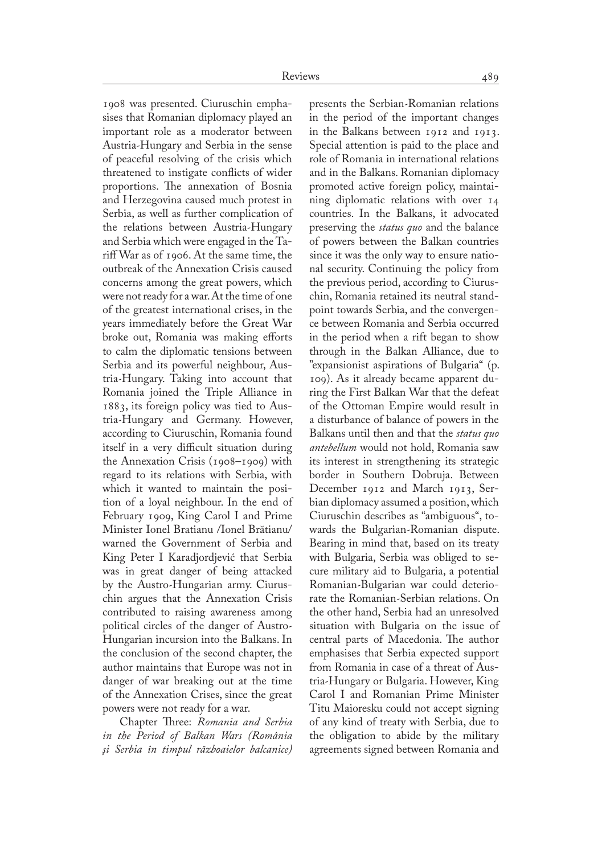1908 was presented. Ciuruschin empha� sises that Romanian diplomacy played an important role as a moderator between Austria-Hungary and Serbia in the sense of peaceful resolving of the crisis which threatened to instigate conflicts of wider proportions. The annexation of Bosnia and Herzegovina caused much protest in Serbia, as well as further complication of the relations between Austria-Hungary and Serbia which were engaged in the Tariff War as of 1906. At the same time, the outbreak of the Annexation Crisis caused concerns among the great powers, which were not ready for a war. At the time of one of the greatest international crises, in the years immediately before the Great War broke out, Romania was making efforts to calm the diplomatic tensions between Serbia and its powerful neighbour, Austria-Hungary. Taking into account that Romania joined the Triple Alliance in 1883, its foreign policy was tied to Aus� tria-Hungary and Germany. However, according to Ciuruschin, Romania found itself in a very difficult situation during the Annexation Crisis (1908–1909) with regard to its relations with Serbia, with which it wanted to maintain the position of a loyal neighbour. In the end of February 1909, King Carol I and Prime Minister Ionel Bratianu /Ionel Brătianu/ warned the Government of Serbia and King Peter I Karadjordjević that Serbia was in great danger of being attacked by the Austro-Hungarian army. Ciuruschin argues that the Annexation Crisis contributed to raising awareness among political circles of the danger of Austro-Hungarian incursion into the Balkans. In the conclusion of the second chapter, the author maintains that Europe was not in danger of war breaking out at the time of the Annexation Crises, since the great powers were not ready for a war.

Chapter Three: *Romania and Serbia in the Period of Balkan Wars (România şi Serbia în timpul războaielor balcanice)*

presents the Serbian-Romanian relations in the period of the important changes in the Balkans between 1912 and 1913. Special attention is paid to the place and role of Romania in international relations and in the Balkans. Romanian diplomacy promoted active foreign policy, maintaining diplomatic relations with over 14 countries. In the Balkans, it advocated preserving the *status quo* and the balance of powers between the Balkan countries since it was the only way to ensure national security. Continuing the policy from the previous period, according to Ciuruschin, Romania retained its neutral stand� point towards Serbia, and the convergen� ce between Romania and Serbia occurred in the period when a rift began to show through in the Balkan Alliance, due to "expansionist aspirations of Bulgaria" (p. 109). As it already became apparent du� ring the First Balkan War that the defeat of the Ottoman Empire would result in a disturbance of balance of powers in the Balkans until then and that the *status quo antebellum* would not hold, Romania saw its interest in strengthening its strategic border in Southern Dobruja. Between December 1912 and March 1913, Serbian diplomacy assumed a position, which Ciuruschin describes as "ambiguous", to� wards the Bulgarian-Romanian dispute. Bearing in mind that, based on its treaty with Bulgaria, Serbia was obliged to secure military aid to Bulgaria, a potential Romanian-Bulgarian war could deteriorate the Romanian-Serbian relations. On the other hand, Serbia had an unresolved situation with Bulgaria on the issue of central parts of Macedonia. The author emphasises that Serbia expected support from Romania in case of a threat of Austria-Hungary or Bulgaria. However, King Carol I and Romanian Prime Minister Titu Maioresku could not accept signing of any kind of treaty with Serbia, due to the obligation to abide by the military agreements signed between Romania and